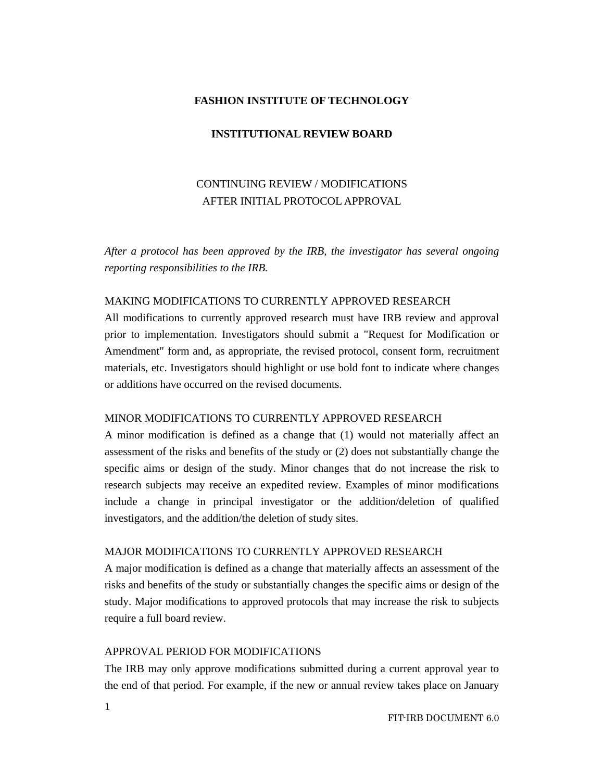#### **FASHION INSTITUTE OF TECHNOLOGY**

#### **INSTITUTIONAL REVIEW BOARD**

# CONTINUING REVIEW / MODIFICATIONS AFTER INITIAL PROTOCOL APPROVAL

*After a protocol has been approved by the IRB, the investigator has several ongoing reporting responsibilities to the IRB.* 

### MAKING MODIFICATIONS TO CURRENTLY APPROVED RESEARCH

All modifications to currently approved research must have IRB review and approval prior to implementation. Investigators should submit a "Request for Modification or Amendment" form and, as appropriate, the revised protocol, consent form, recruitment materials, etc. Investigators should highlight or use bold font to indicate where changes or additions have occurred on the revised documents.

# MINOR MODIFICATIONS TO CURRENTLY APPROVED RESEARCH

A minor modification is defined as a change that (1) would not materially affect an assessment of the risks and benefits of the study or (2) does not substantially change the specific aims or design of the study. Minor changes that do not increase the risk to research subjects may receive an expedited review. Examples of minor modifications include a change in principal investigator or the addition/deletion of qualified investigators, and the addition/the deletion of study sites.

### MAJOR MODIFICATIONS TO CURRENTLY APPROVED RESEARCH

A major modification is defined as a change that materially affects an assessment of the risks and benefits of the study or substantially changes the specific aims or design of the study. Major modifications to approved protocols that may increase the risk to subjects require a full board review.

## APPROVAL PERIOD FOR MODIFICATIONS

The IRB may only approve modifications submitted during a current approval year to the end of that period. For example, if the new or annual review takes place on January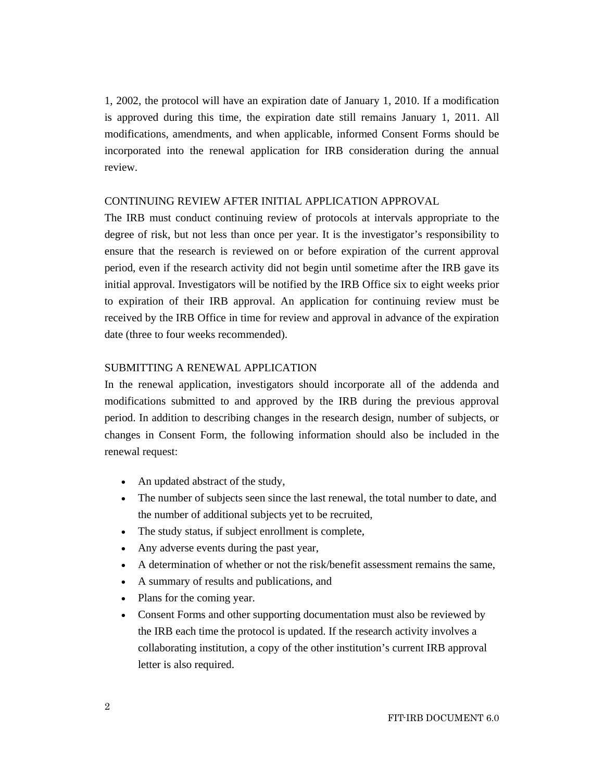1, 2002, the protocol will have an expiration date of January 1, 2010. If a modification is approved during this time, the expiration date still remains January 1, 2011. All modifications, amendments, and when applicable, informed Consent Forms should be incorporated into the renewal application for IRB consideration during the annual review.

#### CONTINUING REVIEW AFTER INITIAL APPLICATION APPROVAL

The IRB must conduct continuing review of protocols at intervals appropriate to the degree of risk, but not less than once per year. It is the investigator's responsibility to ensure that the research is reviewed on or before expiration of the current approval period, even if the research activity did not begin until sometime after the IRB gave its initial approval. Investigators will be notified by the IRB Office six to eight weeks prior to expiration of their IRB approval. An application for continuing review must be received by the IRB Office in time for review and approval in advance of the expiration date (three to four weeks recommended).

#### SUBMITTING A RENEWAL APPLICATION

In the renewal application, investigators should incorporate all of the addenda and modifications submitted to and approved by the IRB during the previous approval period. In addition to describing changes in the research design, number of subjects, or changes in Consent Form, the following information should also be included in the renewal request:

- An updated abstract of the study,
- The number of subjects seen since the last renewal, the total number to date, and the number of additional subjects yet to be recruited,
- The study status, if subject enrollment is complete,
- Any adverse events during the past year,
- A determination of whether or not the risk/benefit assessment remains the same,
- A summary of results and publications, and
- Plans for the coming year.
- Consent Forms and other supporting documentation must also be reviewed by the IRB each time the protocol is updated. If the research activity involves a collaborating institution, a copy of the other institution's current IRB approval letter is also required.